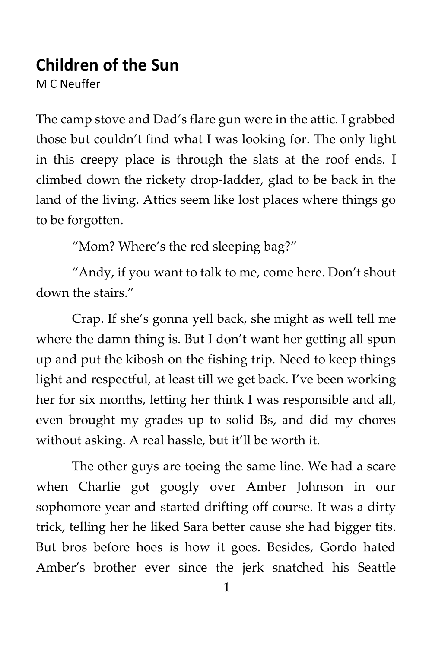## **Children of the Sun**

M C Neuffer

The camp stove and Dad's flare gun were in the attic. I grabbed those but couldn't find what I was looking for. The only light in this creepy place is through the slats at the roof ends. I climbed down the rickety drop-ladder, glad to be back in the land of the living. Attics seem like lost places where things go to be forgotten.

"Mom? Where's the red sleeping bag?"

"Andy, if you want to talk to me, come here. Don't shout down the stairs."

Crap. If she's gonna yell back, she might as well tell me where the damn thing is. But I don't want her getting all spun up and put the kibosh on the fishing trip. Need to keep things light and respectful, at least till we get back. I've been working her for six months, letting her think I was responsible and all, even brought my grades up to solid Bs, and did my chores without asking. A real hassle, but it'll be worth it.

The other guys are toeing the same line. We had a scare when Charlie got googly over Amber Johnson in our sophomore year and started drifting off course. It was a dirty trick, telling her he liked Sara better cause she had bigger tits. But bros before hoes is how it goes. Besides, Gordo hated Amber's brother ever since the jerk snatched his Seattle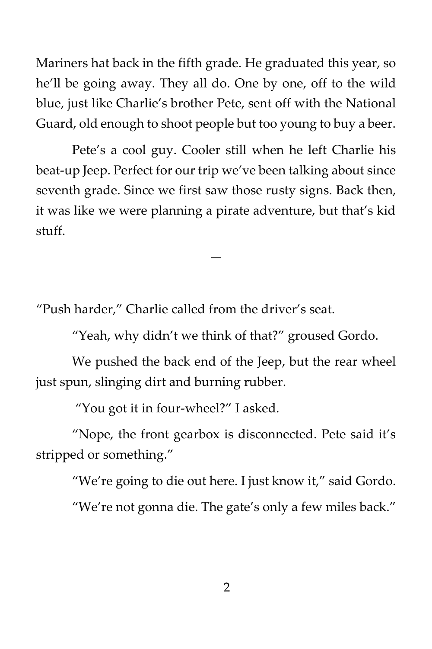Mariners hat back in the fifth grade. He graduated this year, so he'll be going away. They all do. One by one, off to the wild blue, just like Charlie's brother Pete, sent off with the National Guard, old enough to shoot people but too young to buy a beer.

Pete's a cool guy. Cooler still when he left Charlie his beat-up Jeep. Perfect for our trip we've been talking about since seventh grade. Since we first saw those rusty signs. Back then, it was like we were planning a pirate adventure, but that's kid stuff.

—

"Push harder," Charlie called from the driver's seat.

"Yeah, why didn't we think of that?" groused Gordo.

We pushed the back end of the Jeep, but the rear wheel just spun, slinging dirt and burning rubber.

"You got it in four-wheel?" I asked.

"Nope, the front gearbox is disconnected. Pete said it's stripped or something."

"We're going to die out here. I just know it," said Gordo.

"We're not gonna die. The gate's only a few miles back."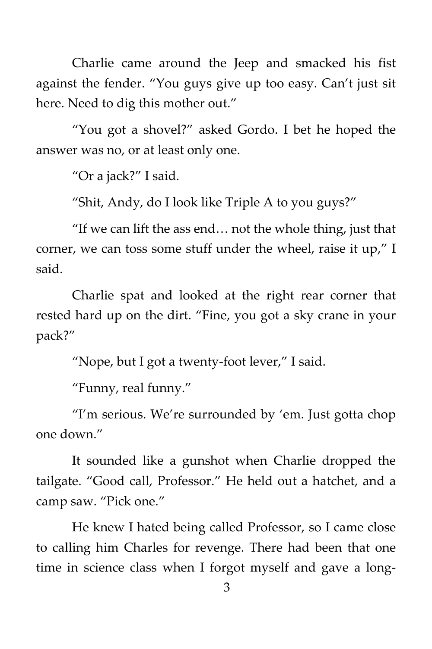Charlie came around the Jeep and smacked his fist against the fender. "You guys give up too easy. Can't just sit here. Need to dig this mother out."

"You got a shovel?" asked Gordo. I bet he hoped the answer was no, or at least only one.

"Or a jack?" I said.

"Shit, Andy, do I look like Triple A to you guys?"

"If we can lift the ass end… not the whole thing, just that corner, we can toss some stuff under the wheel, raise it up," I said.

Charlie spat and looked at the right rear corner that rested hard up on the dirt. "Fine, you got a sky crane in your pack?"

"Nope, but I got a twenty-foot lever," I said.

"Funny, real funny."

"I'm serious. We're surrounded by 'em. Just gotta chop one down."

It sounded like a gunshot when Charlie dropped the tailgate. "Good call, Professor." He held out a hatchet, and a camp saw. "Pick one."

He knew I hated being called Professor, so I came close to calling him Charles for revenge. There had been that one time in science class when I forgot myself and gave a long-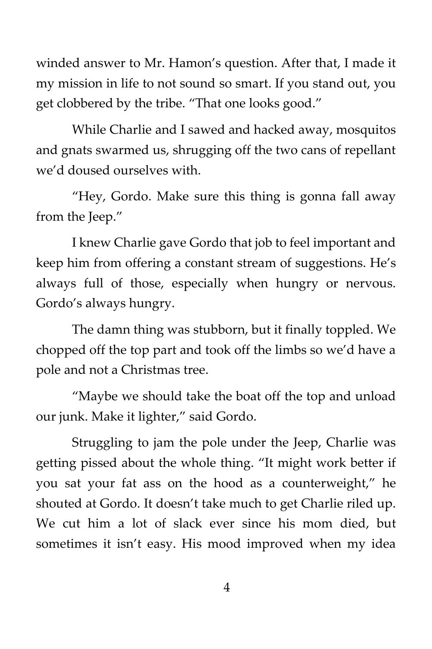winded answer to Mr. Hamon's question. After that, I made it my mission in life to not sound so smart. If you stand out, you get clobbered by the tribe. "That one looks good."

While Charlie and I sawed and hacked away, mosquitos and gnats swarmed us, shrugging off the two cans of repellant we'd doused ourselves with.

"Hey, Gordo. Make sure this thing is gonna fall away from the Jeep."

I knew Charlie gave Gordo that job to feel important and keep him from offering a constant stream of suggestions. He's always full of those, especially when hungry or nervous. Gordo's always hungry.

The damn thing was stubborn, but it finally toppled. We chopped off the top part and took off the limbs so we'd have a pole and not a Christmas tree.

"Maybe we should take the boat off the top and unload our junk. Make it lighter," said Gordo.

Struggling to jam the pole under the Jeep, Charlie was getting pissed about the whole thing. "It might work better if you sat your fat ass on the hood as a counterweight," he shouted at Gordo. It doesn't take much to get Charlie riled up. We cut him a lot of slack ever since his mom died, but sometimes it isn't easy. His mood improved when my idea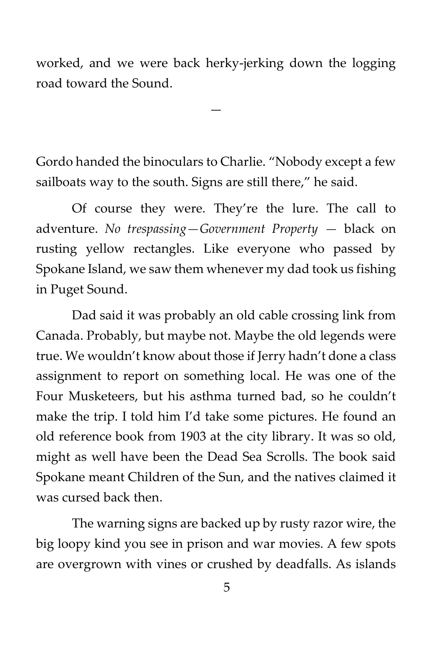worked, and we were back herky-jerking down the logging road toward the Sound.

—

Gordo handed the binoculars to Charlie. "Nobody except a few sailboats way to the south. Signs are still there," he said.

Of course they were. They're the lure. The call to adventure. *No trespassing—Government Property —* black on rusting yellow rectangles. Like everyone who passed by Spokane Island, we saw them whenever my dad took us fishing in Puget Sound.

Dad said it was probably an old cable crossing link from Canada. Probably, but maybe not. Maybe the old legends were true. We wouldn't know about those if Jerry hadn't done a class assignment to report on something local. He was one of the Four Musketeers, but his asthma turned bad, so he couldn't make the trip. I told him I'd take some pictures. He found an old reference book from 1903 at the city library. It was so old, might as well have been the Dead Sea Scrolls. The book said Spokane meant Children of the Sun, and the natives claimed it was cursed back then.

The warning signs are backed up by rusty razor wire, the big loopy kind you see in prison and war movies. A few spots are overgrown with vines or crushed by deadfalls. As islands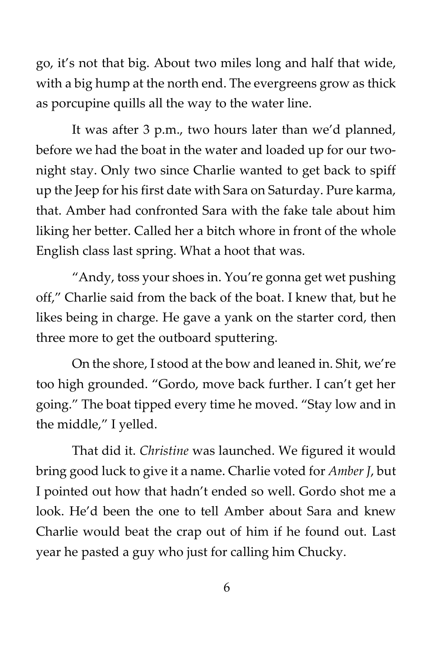go, it's not that big. About two miles long and half that wide, with a big hump at the north end. The evergreens grow as thick as porcupine quills all the way to the water line.

It was after 3 p.m., two hours later than we'd planned, before we had the boat in the water and loaded up for our twonight stay. Only two since Charlie wanted to get back to spiff up the Jeep for his first date with Sara on Saturday. Pure karma, that. Amber had confronted Sara with the fake tale about him liking her better. Called her a bitch whore in front of the whole English class last spring. What a hoot that was.

"Andy, toss your shoes in. You're gonna get wet pushing off," Charlie said from the back of the boat. I knew that, but he likes being in charge. He gave a yank on the starter cord, then three more to get the outboard sputtering.

On the shore, I stood at the bow and leaned in. Shit, we're too high grounded. "Gordo, move back further. I can't get her going." The boat tipped every time he moved. "Stay low and in the middle," I yelled.

That did it. *Christine* was launched. We figured it would bring good luck to give it a name. Charlie voted for *Amber J*, but I pointed out how that hadn't ended so well. Gordo shot me a look. He'd been the one to tell Amber about Sara and knew Charlie would beat the crap out of him if he found out. Last year he pasted a guy who just for calling him Chucky.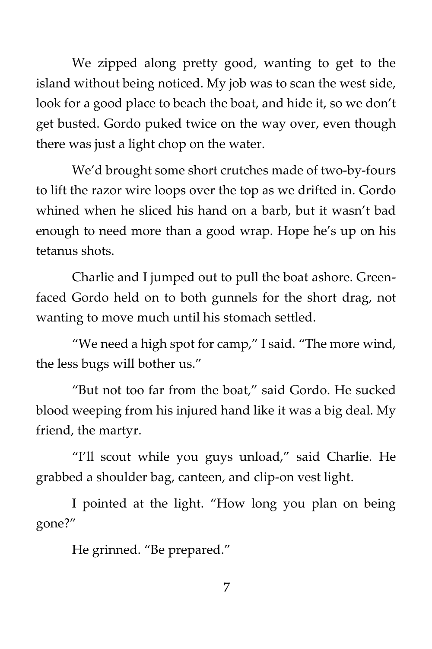We zipped along pretty good, wanting to get to the island without being noticed. My job was to scan the west side, look for a good place to beach the boat, and hide it, so we don't get busted. Gordo puked twice on the way over, even though there was just a light chop on the water.

We'd brought some short crutches made of two-by-fours to lift the razor wire loops over the top as we drifted in. Gordo whined when he sliced his hand on a barb, but it wasn't bad enough to need more than a good wrap. Hope he's up on his tetanus shots.

Charlie and I jumped out to pull the boat ashore. Greenfaced Gordo held on to both gunnels for the short drag, not wanting to move much until his stomach settled.

"We need a high spot for camp," I said. "The more wind, the less bugs will bother us."

"But not too far from the boat," said Gordo. He sucked blood weeping from his injured hand like it was a big deal. My friend, the martyr.

"I'll scout while you guys unload," said Charlie. He grabbed a shoulder bag, canteen, and clip-on vest light.

I pointed at the light. "How long you plan on being gone?"

He grinned. "Be prepared."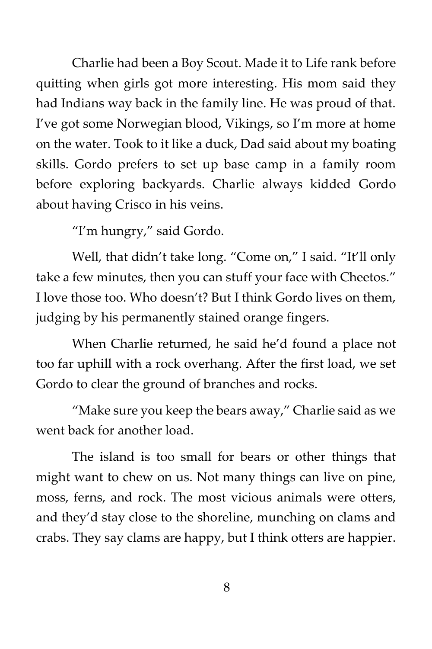Charlie had been a Boy Scout. Made it to Life rank before quitting when girls got more interesting. His mom said they had Indians way back in the family line. He was proud of that. I've got some Norwegian blood, Vikings, so I'm more at home on the water. Took to it like a duck, Dad said about my boating skills. Gordo prefers to set up base camp in a family room before exploring backyards. Charlie always kidded Gordo about having Crisco in his veins.

"I'm hungry," said Gordo.

Well, that didn't take long. "Come on," I said. "It'll only take a few minutes, then you can stuff your face with Cheetos." I love those too. Who doesn't? But I think Gordo lives on them, judging by his permanently stained orange fingers.

When Charlie returned, he said he'd found a place not too far uphill with a rock overhang. After the first load, we set Gordo to clear the ground of branches and rocks.

"Make sure you keep the bears away," Charlie said as we went back for another load.

The island is too small for bears or other things that might want to chew on us. Not many things can live on pine, moss, ferns, and rock. The most vicious animals were otters, and they'd stay close to the shoreline, munching on clams and crabs. They say clams are happy, but I think otters are happier.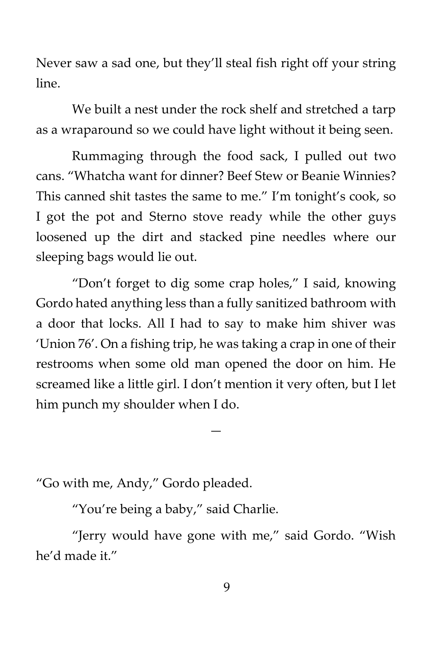Never saw a sad one, but they'll steal fish right off your string line.

We built a nest under the rock shelf and stretched a tarp as a wraparound so we could have light without it being seen.

Rummaging through the food sack, I pulled out two cans. "Whatcha want for dinner? Beef Stew or Beanie Winnies? This canned shit tastes the same to me." I'm tonight's cook, so I got the pot and Sterno stove ready while the other guys loosened up the dirt and stacked pine needles where our sleeping bags would lie out.

"Don't forget to dig some crap holes," I said, knowing Gordo hated anything less than a fully sanitized bathroom with a door that locks. All I had to say to make him shiver was 'Union 76'. On a fishing trip, he was taking a crap in one of their restrooms when some old man opened the door on him. He screamed like a little girl. I don't mention it very often, but I let him punch my shoulder when I do.

—

"Go with me, Andy," Gordo pleaded.

"You're being a baby," said Charlie.

"Jerry would have gone with me," said Gordo. "Wish he'd made it."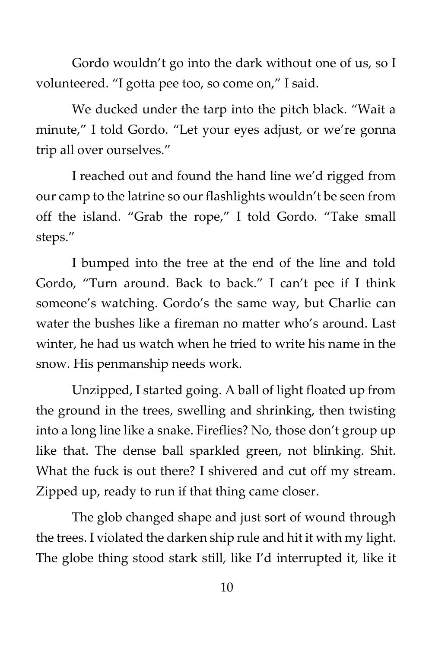Gordo wouldn't go into the dark without one of us, so I volunteered. "I gotta pee too, so come on," I said.

We ducked under the tarp into the pitch black. "Wait a minute," I told Gordo. "Let your eyes adjust, or we're gonna trip all over ourselves."

I reached out and found the hand line we'd rigged from our camp to the latrine so our flashlights wouldn't be seen from off the island. "Grab the rope," I told Gordo. "Take small steps."

I bumped into the tree at the end of the line and told Gordo, "Turn around. Back to back." I can't pee if I think someone's watching. Gordo's the same way, but Charlie can water the bushes like a fireman no matter who's around. Last winter, he had us watch when he tried to write his name in the snow. His penmanship needs work.

Unzipped, I started going. A ball of light floated up from the ground in the trees, swelling and shrinking, then twisting into a long line like a snake. Fireflies? No, those don't group up like that. The dense ball sparkled green, not blinking. Shit. What the fuck is out there? I shivered and cut off my stream. Zipped up, ready to run if that thing came closer.

The glob changed shape and just sort of wound through the trees. I violated the darken ship rule and hit it with my light. The globe thing stood stark still, like I'd interrupted it, like it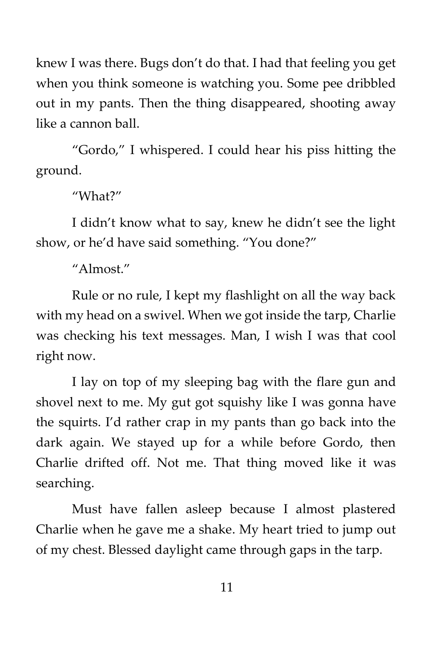knew I was there. Bugs don't do that. I had that feeling you get when you think someone is watching you. Some pee dribbled out in my pants. Then the thing disappeared, shooting away like a cannon ball.

"Gordo," I whispered. I could hear his piss hitting the ground.

"What?"

I didn't know what to say, knew he didn't see the light show, or he'd have said something. "You done?"

"Almost."

Rule or no rule, I kept my flashlight on all the way back with my head on a swivel. When we got inside the tarp, Charlie was checking his text messages. Man, I wish I was that cool right now.

I lay on top of my sleeping bag with the flare gun and shovel next to me. My gut got squishy like I was gonna have the squirts. I'd rather crap in my pants than go back into the dark again. We stayed up for a while before Gordo, then Charlie drifted off. Not me. That thing moved like it was searching.

Must have fallen asleep because I almost plastered Charlie when he gave me a shake. My heart tried to jump out of my chest. Blessed daylight came through gaps in the tarp.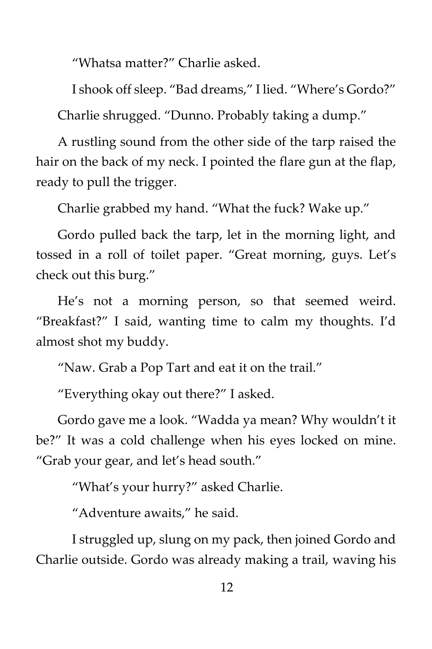"Whatsa matter?" Charlie asked.

I shook off sleep. "Bad dreams," I lied. "Where's Gordo?" Charlie shrugged. "Dunno. Probably taking a dump."

A rustling sound from the other side of the tarp raised the hair on the back of my neck. I pointed the flare gun at the flap, ready to pull the trigger.

Charlie grabbed my hand. "What the fuck? Wake up."

Gordo pulled back the tarp, let in the morning light, and tossed in a roll of toilet paper. "Great morning, guys. Let's check out this burg."

He's not a morning person, so that seemed weird. "Breakfast?" I said, wanting time to calm my thoughts. I'd almost shot my buddy.

"Naw. Grab a Pop Tart and eat it on the trail."

"Everything okay out there?" I asked.

Gordo gave me a look. "Wadda ya mean? Why wouldn't it be?" It was a cold challenge when his eyes locked on mine. "Grab your gear, and let's head south."

"What's your hurry?" asked Charlie.

"Adventure awaits," he said.

I struggled up, slung on my pack, then joined Gordo and Charlie outside. Gordo was already making a trail, waving his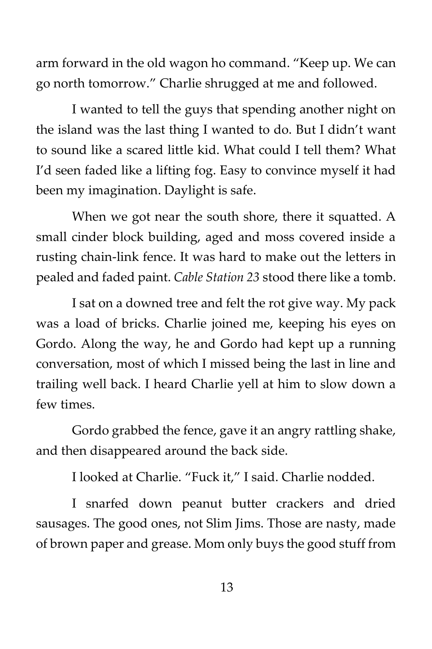arm forward in the old wagon ho command. "Keep up. We can go north tomorrow." Charlie shrugged at me and followed.

I wanted to tell the guys that spending another night on the island was the last thing I wanted to do. But I didn't want to sound like a scared little kid. What could I tell them? What I'd seen faded like a lifting fog. Easy to convince myself it had been my imagination. Daylight is safe.

When we got near the south shore, there it squatted. A small cinder block building, aged and moss covered inside a rusting chain-link fence. It was hard to make out the letters in pealed and faded paint. *Cable Station 23* stood there like a tomb.

I sat on a downed tree and felt the rot give way. My pack was a load of bricks. Charlie joined me, keeping his eyes on Gordo. Along the way, he and Gordo had kept up a running conversation, most of which I missed being the last in line and trailing well back. I heard Charlie yell at him to slow down a few times.

Gordo grabbed the fence, gave it an angry rattling shake, and then disappeared around the back side.

I looked at Charlie. "Fuck it," I said. Charlie nodded.

I snarfed down peanut butter crackers and dried sausages. The good ones, not Slim Jims. Those are nasty, made of brown paper and grease. Mom only buys the good stuff from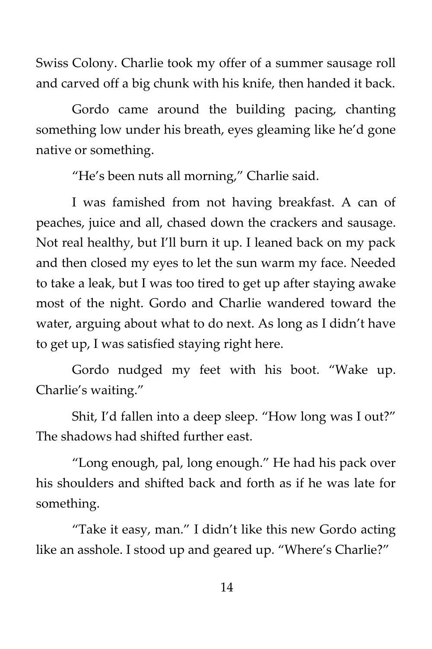Swiss Colony. Charlie took my offer of a summer sausage roll and carved off a big chunk with his knife, then handed it back.

Gordo came around the building pacing, chanting something low under his breath, eyes gleaming like he'd gone native or something.

"He's been nuts all morning," Charlie said.

I was famished from not having breakfast. A can of peaches, juice and all, chased down the crackers and sausage. Not real healthy, but I'll burn it up. I leaned back on my pack and then closed my eyes to let the sun warm my face. Needed to take a leak, but I was too tired to get up after staying awake most of the night. Gordo and Charlie wandered toward the water, arguing about what to do next. As long as I didn't have to get up, I was satisfied staying right here.

Gordo nudged my feet with his boot. "Wake up. Charlie's waiting."

Shit, I'd fallen into a deep sleep. "How long was I out?" The shadows had shifted further east.

"Long enough, pal, long enough." He had his pack over his shoulders and shifted back and forth as if he was late for something.

"Take it easy, man." I didn't like this new Gordo acting like an asshole. I stood up and geared up. "Where's Charlie?"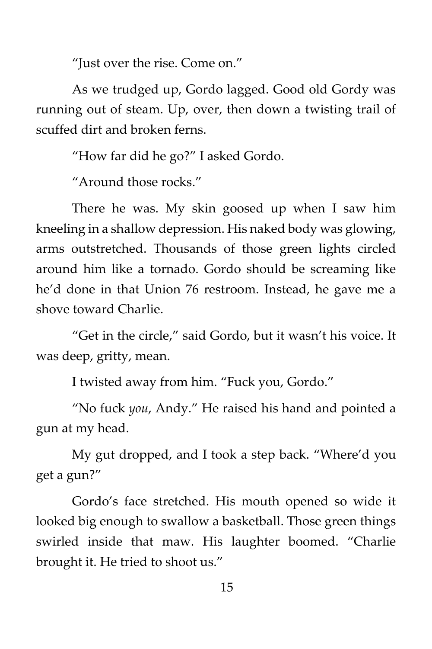"Just over the rise. Come on."

As we trudged up, Gordo lagged. Good old Gordy was running out of steam. Up, over, then down a twisting trail of scuffed dirt and broken ferns.

"How far did he go?" I asked Gordo.

"Around those rocks."

There he was. My skin goosed up when I saw him kneeling in a shallow depression. His naked body was glowing, arms outstretched. Thousands of those green lights circled around him like a tornado. Gordo should be screaming like he'd done in that Union 76 restroom. Instead, he gave me a shove toward Charlie.

"Get in the circle," said Gordo, but it wasn't his voice. It was deep, gritty, mean.

I twisted away from him. "Fuck you, Gordo."

"No fuck *you*, Andy." He raised his hand and pointed a gun at my head.

My gut dropped, and I took a step back. "Where'd you get a gun?"

Gordo's face stretched. His mouth opened so wide it looked big enough to swallow a basketball. Those green things swirled inside that maw. His laughter boomed. "Charlie brought it. He tried to shoot us."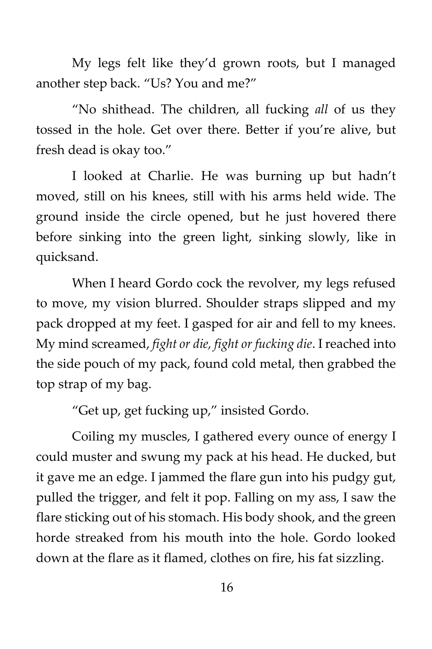My legs felt like they'd grown roots, but I managed another step back. "Us? You and me?"

"No shithead. The children, all fucking *all* of us they tossed in the hole. Get over there. Better if you're alive, but fresh dead is okay too."

I looked at Charlie. He was burning up but hadn't moved, still on his knees, still with his arms held wide. The ground inside the circle opened, but he just hovered there before sinking into the green light, sinking slowly, like in quicksand.

When I heard Gordo cock the revolver, my legs refused to move, my vision blurred. Shoulder straps slipped and my pack dropped at my feet. I gasped for air and fell to my knees. My mind screamed, *fight or die, fight or fucking die*. I reached into the side pouch of my pack, found cold metal, then grabbed the top strap of my bag.

"Get up, get fucking up," insisted Gordo.

Coiling my muscles, I gathered every ounce of energy I could muster and swung my pack at his head. He ducked, but it gave me an edge. I jammed the flare gun into his pudgy gut, pulled the trigger, and felt it pop. Falling on my ass, I saw the flare sticking out of his stomach. His body shook, and the green horde streaked from his mouth into the hole. Gordo looked down at the flare as it flamed, clothes on fire, his fat sizzling.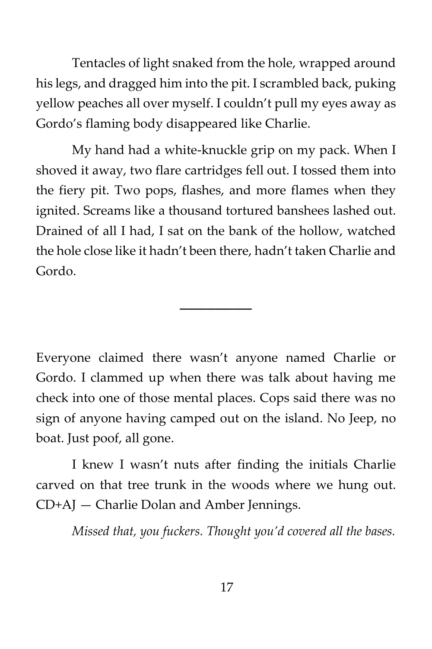Tentacles of light snaked from the hole, wrapped around his legs, and dragged him into the pit. I scrambled back, puking yellow peaches all over myself. I couldn't pull my eyes away as Gordo's flaming body disappeared like Charlie.

My hand had a white-knuckle grip on my pack. When I shoved it away, two flare cartridges fell out. I tossed them into the fiery pit. Two pops, flashes, and more flames when they ignited. Screams like a thousand tortured banshees lashed out. Drained of all I had, I sat on the bank of the hollow, watched the hole close like it hadn't been there, hadn't taken Charlie and Gordo.

\_\_\_\_\_\_\_\_

Everyone claimed there wasn't anyone named Charlie or Gordo. I clammed up when there was talk about having me check into one of those mental places. Cops said there was no sign of anyone having camped out on the island. No Jeep, no boat. Just poof, all gone.

I knew I wasn't nuts after finding the initials Charlie carved on that tree trunk in the woods where we hung out. CD+AJ — Charlie Dolan and Amber Jennings.

*Missed that, you fuckers. Thought you'd covered all the bases.*